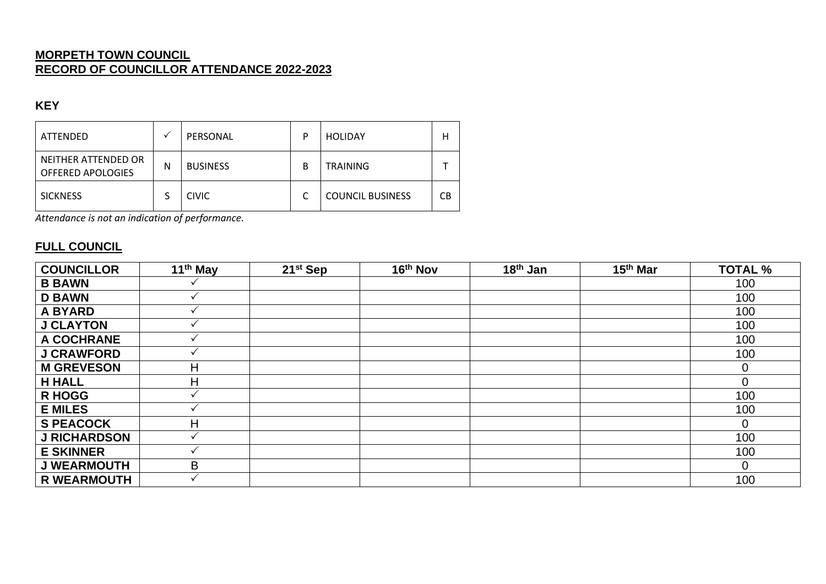### **MORPETH TOWN COUNCIL RECORD OF COUNCILLOR ATTENDANCE 2022-2023**

#### **KEY**

| ATTENDED                                 |   | PERSONAL        | P | <b>HOLIDAY</b>          | н  |
|------------------------------------------|---|-----------------|---|-------------------------|----|
| NEITHER ATTENDED OR<br>OFFERED APOLOGIES | N | <b>BUSINESS</b> | В | <b>TRAINING</b>         |    |
| <b>SICKNESS</b>                          |   | <b>CIVIC</b>    |   | <b>COUNCIL BUSINESS</b> | СB |

*Attendance is not an indication of performance.*

### **FULL COUNCIL**

| <b>COUNCILLOR</b>   | 11 <sup>th</sup> May | $21st$ Sep | 16th Nov | 18 <sup>th</sup> Jan | 15 <sup>th</sup> Mar | <b>TOTAL %</b> |
|---------------------|----------------------|------------|----------|----------------------|----------------------|----------------|
| <b>B BAWN</b>       |                      |            |          |                      |                      | 100            |
| <b>D BAWN</b>       |                      |            |          |                      |                      | 100            |
| <b>A BYARD</b>      |                      |            |          |                      |                      | 100            |
| <b>J CLAYTON</b>    |                      |            |          |                      |                      | 100            |
| A COCHRANE          |                      |            |          |                      |                      | 100            |
| <b>J CRAWFORD</b>   |                      |            |          |                      |                      | 100            |
| <b>M GREVESON</b>   | н                    |            |          |                      |                      | $\Omega$       |
| <b>H HALL</b>       | н                    |            |          |                      |                      | $\Omega$       |
| <b>R HOGG</b>       |                      |            |          |                      |                      | 100            |
| <b>E MILES</b>      |                      |            |          |                      |                      | 100            |
| <b>S PEACOCK</b>    | Н                    |            |          |                      |                      | 0              |
| <b>J RICHARDSON</b> |                      |            |          |                      |                      | 100            |
| <b>E SKINNER</b>    |                      |            |          |                      |                      | 100            |
| <b>J WEARMOUTH</b>  | B                    |            |          |                      |                      | 0              |
| <b>R WEARMOUTH</b>  |                      |            |          |                      |                      | 100            |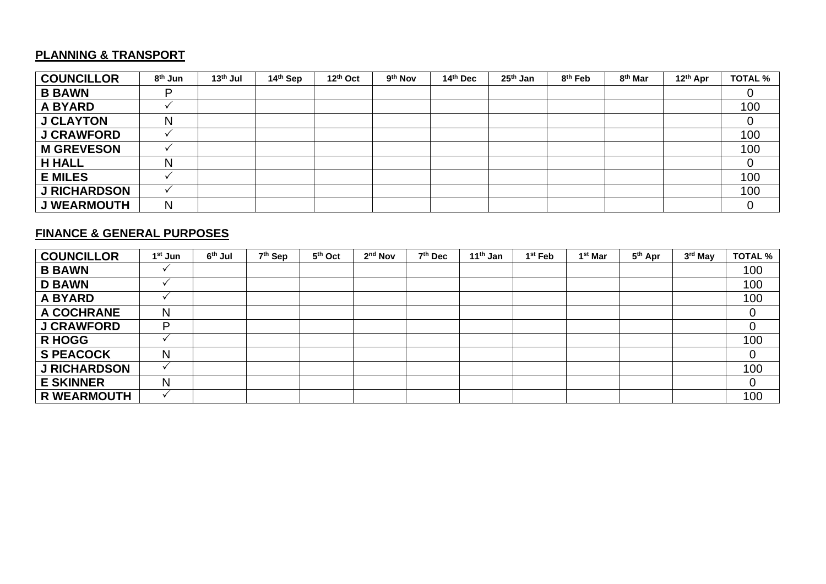## **PLANNING & TRANSPORT**

| <b>COUNCILLOR</b>   | 8 <sup>th</sup> Jun | 13 <sup>th</sup> Jul | 14th Sep | 12th Oct | 9 <sup>th</sup> Nov | 14th Dec | 25 <sup>th</sup> Jan | 8 <sup>th</sup> Feb | 8 <sup>th</sup> Mar | 12 <sup>th</sup> Apr | <b>TOTAL %</b> |
|---------------------|---------------------|----------------------|----------|----------|---------------------|----------|----------------------|---------------------|---------------------|----------------------|----------------|
| <b>B BAWN</b>       | D                   |                      |          |          |                     |          |                      |                     |                     |                      |                |
| <b>A BYARD</b>      |                     |                      |          |          |                     |          |                      |                     |                     |                      | 100            |
| <b>J CLAYTON</b>    | N                   |                      |          |          |                     |          |                      |                     |                     |                      |                |
| <b>J CRAWFORD</b>   |                     |                      |          |          |                     |          |                      |                     |                     |                      | 100            |
| <b>M GREVESON</b>   |                     |                      |          |          |                     |          |                      |                     |                     |                      | 100            |
| <b>H HALL</b>       | N                   |                      |          |          |                     |          |                      |                     |                     |                      |                |
| <b>E MILES</b>      |                     |                      |          |          |                     |          |                      |                     |                     |                      | 100            |
| <b>J RICHARDSON</b> |                     |                      |          |          |                     |          |                      |                     |                     |                      | 100            |
| <b>J WEARMOUTH</b>  | N                   |                      |          |          |                     |          |                      |                     |                     |                      |                |

### **FINANCE & GENERAL PURPOSES**

| <b>COUNCILLOR</b>   | 1 <sup>st</sup> Jun | 6 <sup>th</sup> Jul | 7 <sup>th</sup> Sep | 5th Oct | 2 <sup>nd</sup> Nov | 7 <sup>th</sup> Dec | 11 <sup>th</sup> Jan | 1 <sup>st</sup> Feb | 1 <sup>st</sup> Mar | 5 <sup>th</sup> Apr | 3 <sup>rd</sup> May | <b>TOTAL %</b> |
|---------------------|---------------------|---------------------|---------------------|---------|---------------------|---------------------|----------------------|---------------------|---------------------|---------------------|---------------------|----------------|
| <b>B BAWN</b>       |                     |                     |                     |         |                     |                     |                      |                     |                     |                     |                     | 100            |
| <b>D BAWN</b>       |                     |                     |                     |         |                     |                     |                      |                     |                     |                     |                     | 100            |
| <b>A BYARD</b>      |                     |                     |                     |         |                     |                     |                      |                     |                     |                     |                     | 100            |
| A COCHRANE          | Ν                   |                     |                     |         |                     |                     |                      |                     |                     |                     |                     |                |
| <b>J CRAWFORD</b>   | D                   |                     |                     |         |                     |                     |                      |                     |                     |                     |                     |                |
| <b>R HOGG</b>       |                     |                     |                     |         |                     |                     |                      |                     |                     |                     |                     | 100            |
| <b>S PEACOCK</b>    | N                   |                     |                     |         |                     |                     |                      |                     |                     |                     |                     |                |
| <b>J RICHARDSON</b> |                     |                     |                     |         |                     |                     |                      |                     |                     |                     |                     | 100            |
| <b>E SKINNER</b>    | N                   |                     |                     |         |                     |                     |                      |                     |                     |                     |                     | 0              |
| <b>R WEARMOUTH</b>  |                     |                     |                     |         |                     |                     |                      |                     |                     |                     |                     | 100            |